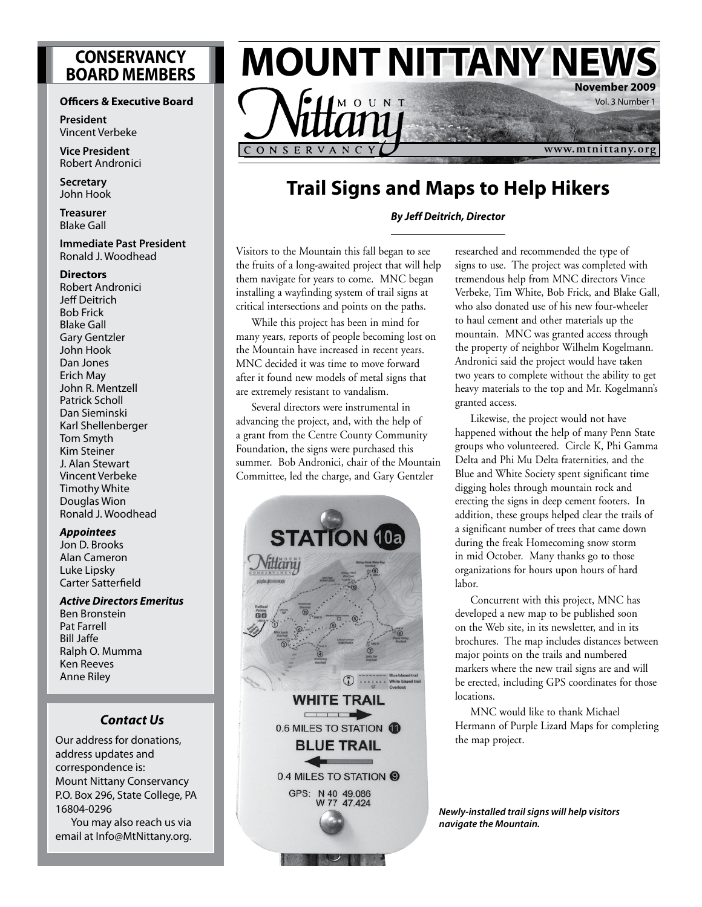# **CONSERVANCY BOARD MEMBERS**

#### **Officers & Executive Board**

**President** Vincent Verbeke

**Vice President** Robert Andronici

**Secretary** John Hook

**Treasurer** Blake Gall

#### **Immediate Past President** Ronald J. Woodhead

#### **Directors**

Robert Andronici Jeff Deitrich Bob Frick Blake Gall Gary Gentzler John Hook Dan Jones Erich May John R. Mentzell Patrick Scholl Dan Sieminski Karl Shellenberger Tom Smyth Kim Steiner J. Alan Stewart Vincent Verbeke Timothy White Douglas Wion Ronald J. Woodhead

#### *Appointees*

Jon D. Brooks Alan Cameron Luke Lipsky Carter Satterfield

### *Active Directors Emeritus*

Ben Bronstein Pat Farrell Bill Jaffe Ralph O. Mumma Ken Reeves Anne Riley

#### *Contact Us*

Our address for donations, address updates and correspondence is: Mount Nittany Conservancy P.O. Box 296, State College, PA 16804-0296

You may also reach us via email at Info@MtNittany.org.



# **Trail Signs and Maps to Help Hikers**

*By Jeff Deitrich, Director*

Visitors to the Mountain this fall began to see the fruits of a long-awaited project that will help them navigate for years to come. MNC began installing a wayfinding system of trail signs at critical intersections and points on the paths.

While this project has been in mind for many years, reports of people becoming lost on the Mountain have increased in recent years. MNC decided it was time to move forward after it found new models of metal signs that are extremely resistant to vandalism.

Several directors were instrumental in advancing the project, and, with the help of a grant from the Centre County Community Foundation, the signs were purchased this summer. Bob Andronici, chair of the Mountain Committee, led the charge, and Gary Gentzler



researched and recommended the type of signs to use. The project was completed with tremendous help from MNC directors Vince Verbeke, Tim White, Bob Frick, and Blake Gall, who also donated use of his new four-wheeler to haul cement and other materials up the mountain. MNC was granted access through the property of neighbor Wilhelm Kogelmann. Andronici said the project would have taken two years to complete without the ability to get heavy materials to the top and Mr. Kogelmann's granted access.

Likewise, the project would not have happened without the help of many Penn State groups who volunteered. Circle K, Phi Gamma Delta and Phi Mu Delta fraternities, and the Blue and White Society spent significant time digging holes through mountain rock and erecting the signs in deep cement footers. In addition, these groups helped clear the trails of a significant number of trees that came down during the freak Homecoming snow storm in mid October. Many thanks go to those organizations for hours upon hours of hard labor.

Concurrent with this project, MNC has developed a new map to be published soon on the Web site, in its newsletter, and in its brochures. The map includes distances between major points on the trails and numbered markers where the new trail signs are and will be erected, including GPS coordinates for those locations.

MNC would like to thank Michael Hermann of Purple Lizard Maps for completing the map project.

*Newly-installed trail signs will help visitors navigate the Mountain.*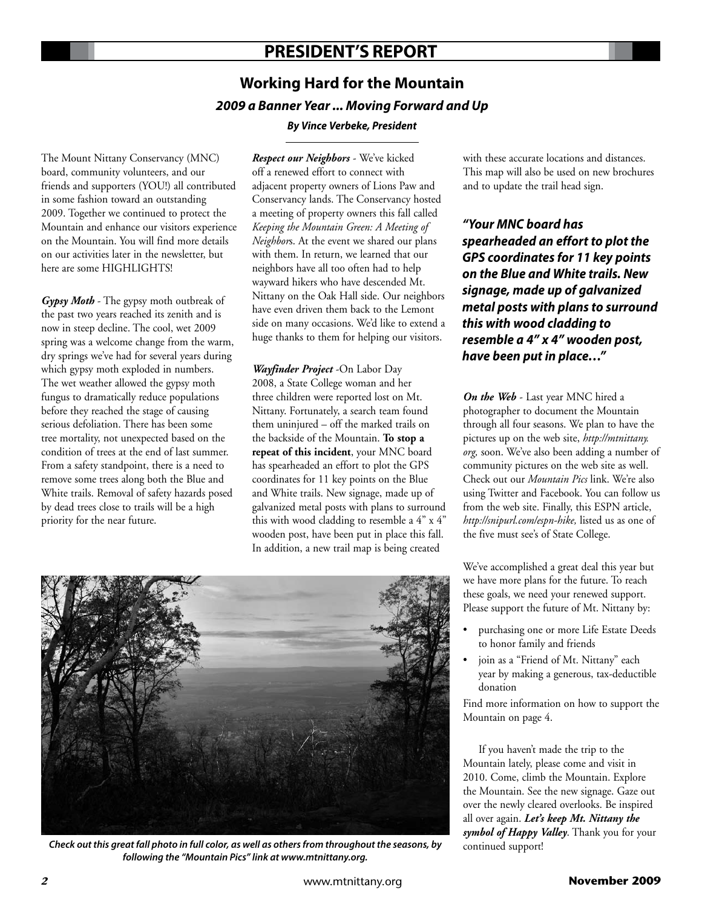# **PResident's report**

# **Working Hard for the Mountain**  *2009 a Banner Year ... Moving Forward and Up*

#### *By Vince Verbeke, President*

The Mount Nittany Conservancy (MNC) board, community volunteers, and our friends and supporters (YOU!) all contributed in some fashion toward an outstanding 2009. Together we continued to protect the Mountain and enhance our visitors experience on the Mountain. You will find more details on our activities later in the newsletter, but here are some HIGHLIGHTS!

*Gypsy Moth* - The gypsy moth outbreak of the past two years reached its zenith and is now in steep decline. The cool, wet 2009 spring was a welcome change from the warm, dry springs we've had for several years during which gypsy moth exploded in numbers. The wet weather allowed the gypsy moth fungus to dramatically reduce populations before they reached the stage of causing serious defoliation. There has been some tree mortality, not unexpected based on the condition of trees at the end of last summer. From a safety standpoint, there is a need to remove some trees along both the Blue and White trails. Removal of safety hazards posed by dead trees close to trails will be a high priority for the near future.

*Respect our Neighbors* - We've kicked off a renewed effort to connect with adjacent property owners of Lions Paw and Conservancy lands. The Conservancy hosted a meeting of property owners this fall called *Keeping the Mountain Green: A Meeting of Neighbor*s. At the event we shared our plans with them. In return, we learned that our neighbors have all too often had to help wayward hikers who have descended Mt. Nittany on the Oak Hall side. Our neighbors have even driven them back to the Lemont side on many occasions. We'd like to extend a huge thanks to them for helping our visitors.

*Wayfinder Project* -On Labor Day 2008, a State College woman and her three children were reported lost on Mt. Nittany. Fortunately, a search team found them uninjured – off the marked trails on the backside of the Mountain. **To stop a repeat of this incident**, your MNC board has spearheaded an effort to plot the GPS coordinates for 11 key points on the Blue and White trails. New signage, made up of galvanized metal posts with plans to surround this with wood cladding to resemble a 4" x 4" wooden post, have been put in place this fall. In addition, a new trail map is being created

with these accurate locations and distances. This map will also be used on new brochures and to update the trail head sign.

*"Your MNC board has spearheaded an effort to plot the GPS coordinates for 11 key points on the Blue and White trails. New signage, made up of galvanized metal posts with plans to surround this with wood cladding to resemble a 4" x 4" wooden post, have been put in place…"*

*On the Web* - Last year MNC hired a photographer to document the Mountain through all four seasons. We plan to have the pictures up on the web site, *http://mtnittany. org,* soon. We've also been adding a number of community pictures on the web site as well. Check out our *Mountain Pics* link. We're also using Twitter and Facebook. You can follow us from the web site. Finally, this ESPN article, *http://snipurl.com/espn-hike,* listed us as one of the five must see's of State College.

We've accomplished a great deal this year but we have more plans for the future. To reach these goals, we need your renewed support. Please support the future of Mt. Nittany by:

- purchasing one or more Life Estate Deeds to honor family and friends
- join as a "Friend of Mt. Nittany" each year by making a generous, tax-deductible donation

Find more information on how to support the Mountain on page 4.

If you haven't made the trip to the Mountain lately, please come and visit in 2010. Come, climb the Mountain. Explore the Mountain. See the new signage. Gaze out over the newly cleared overlooks. Be inspired all over again. *Let's keep Mt. Nittany the symbol of Happy Valley*. Thank you for your continued support!



*Check out this great fall photo in full color, as well as others from throughout the seasons, by following the "Mountain Pics" link at www.mtnittany.org.*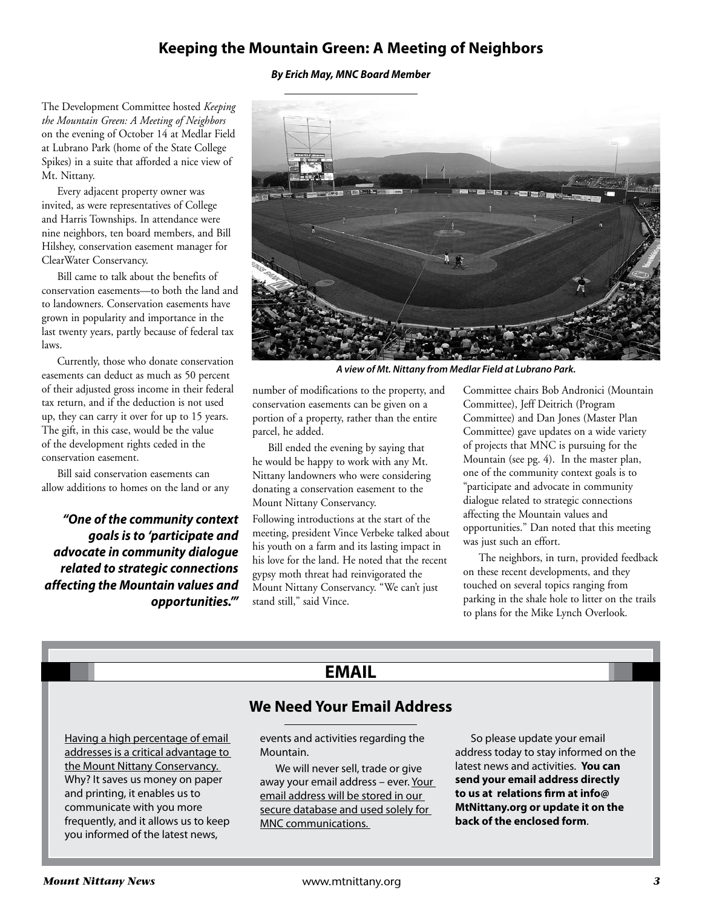## **Keeping the Mountain Green: A Meeting of Neighbors**

#### *By Erich May, MNC Board Member*

The Development Committee hosted *Keeping the Mountain Green: A Meeting of Neighbors* on the evening of October 14 at Medlar Field at Lubrano Park (home of the State College Spikes) in a suite that afforded a nice view of Mt. Nittany.

Every adjacent property owner was invited, as were representatives of College and Harris Townships. In attendance were nine neighbors, ten board members, and Bill Hilshey, conservation easement manager for ClearWater Conservancy.

Bill came to talk about the benefits of conservation easements—to both the land and to landowners. Conservation easements have grown in popularity and importance in the last twenty years, partly because of federal tax laws.

Currently, those who donate conservation easements can deduct as much as 50 percent of their adjusted gross income in their federal tax return, and if the deduction is not used up, they can carry it over for up to 15 years. The gift, in this case, would be the value of the development rights ceded in the conservation easement.

Bill said conservation easements can allow additions to homes on the land or any

*"One of the community context goals is to 'participate and advocate in community dialogue related to strategic connections affecting the Mountain values and opportunities.'"*



*A view of Mt. Nittany from Medlar Field at Lubrano Park.*

number of modifications to the property, and conservation easements can be given on a portion of a property, rather than the entire parcel, he added.

Bill ended the evening by saying that he would be happy to work with any Mt. Nittany landowners who were considering donating a conservation easement to the Mount Nittany Conservancy.

Following introductions at the start of the meeting, president Vince Verbeke talked about his youth on a farm and its lasting impact in his love for the land. He noted that the recent gypsy moth threat had reinvigorated the Mount Nittany Conservancy. "We can't just stand still," said Vince.

Committee chairs Bob Andronici (Mountain Committee), Jeff Deitrich (Program Committee) and Dan Jones (Master Plan Committee) gave updates on a wide variety of projects that MNC is pursuing for the Mountain (see pg. 4). In the master plan, one of the community context goals is to "participate and advocate in community dialogue related to strategic connections affecting the Mountain values and opportunities." Dan noted that this meeting was just such an effort.

The neighbors, in turn, provided feedback on these recent developments, and they touched on several topics ranging from parking in the shale hole to litter on the trails to plans for the Mike Lynch Overlook.